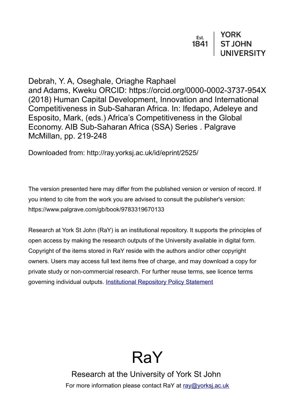| Est.<br>1841 | YORK              |
|--------------|-------------------|
|              | <b>ST JOHN</b>    |
|              | <b>UNIVERSITY</b> |

# Debrah, Y. A, Oseghale, Oriaghe Raphael

and Adams, Kweku ORCID: https://orcid.org/0000-0002-3737-954X (2018) Human Capital Development, Innovation and International Competitiveness in Sub-Saharan Africa. In: Ifedapo, Adeleye and Esposito, Mark, (eds.) Africa's Competitiveness in the Global Economy. AIB Sub-Saharan Africa (SSA) Series . Palgrave McMillan, pp. 219-248

Downloaded from: http://ray.yorksj.ac.uk/id/eprint/2525/

The version presented here may differ from the published version or version of record. If you intend to cite from the work you are advised to consult the publisher's version: https://www.palgrave.com/gb/book/9783319670133

Research at York St John (RaY) is an institutional repository. It supports the principles of open access by making the research outputs of the University available in digital form. Copyright of the items stored in RaY reside with the authors and/or other copyright owners. Users may access full text items free of charge, and may download a copy for private study or non-commercial research. For further reuse terms, see licence terms governing individual outputs. [Institutional Repository Policy Statement](https://www.yorksj.ac.uk/ils/repository-policies/)



Research at the University of York St John For more information please contact RaY at [ray@yorksj.ac.uk](mailto:ray@yorksj.ac.uk)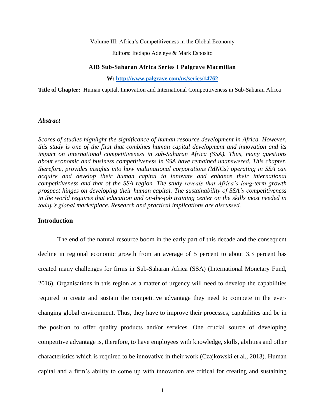Volume III: Africa's Competitiveness in the Global Economy

Editors: Ifedapo Adeleye & Mark Esposito

#### **AIB Sub-Saharan Africa Series I Palgrave Macmillan**

**W:<http://www.palgrave.com/us/series/14762>**

**Title of Chapter:** Human capital, Innovation and International Competitiveness in Sub-Saharan Africa

## *Abstract*

*Scores of studies highlight the significance of human resource development in Africa. However, this study is one of the first that combines human capital development and innovation and its impact on international competitiveness in sub-Saharan Africa (SSA). Thus, many questions about economic and business competitiveness in SSA have remained unanswered. This chapter, therefore, provides insights into how multinational corporations (MNCs) operating in SSA can acquire and develop their human capital to innovate and enhance their international competitiveness and that of the SSA region. The study reveals that Africa's long-term growth prospect hinges on developing their human capital. The sustainability of SSA's competitiveness in the world requires that education and on-the-job training center on the skills most needed in today's global marketplace. Research and practical implications are discussed.* 

## **Introduction**

The end of the natural resource boom in the early part of this decade and the consequent decline in regional economic growth from an average of 5 percent to about 3.3 percent has created many challenges for firms in Sub-Saharan Africa (SSA) (International Monetary Fund, 2016). Organisations in this region as a matter of urgency will need to develop the capabilities required to create and sustain the competitive advantage they need to compete in the everchanging global environment. Thus, they have to improve their processes, capabilities and be in the position to offer quality products and/or services. One crucial source of developing competitive advantage is, therefore, to have employees with knowledge, skills, abilities and other characteristics which is required to be innovative in their work (Czajkowski et al., 2013). Human capital and a firm's ability to come up with innovation are critical for creating and sustaining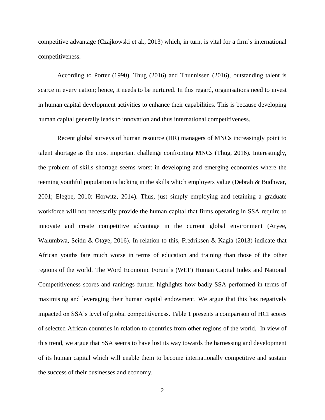competitive advantage (Czajkowski et al., 2013) which, in turn, is vital for a firm's international competitiveness.

According to Porter (1990), Thug (2016) and Thunnissen (2016), outstanding talent is scarce in every nation; hence, it needs to be nurtured. In this regard, organisations need to invest in human capital development activities to enhance their capabilities. This is because developing human capital generally leads to innovation and thus international competitiveness.

Recent global surveys of human resource (HR) managers of MNCs increasingly point to talent shortage as the most important challenge confronting MNCs (Thug, 2016). Interestingly, the problem of skills shortage seems worst in developing and emerging economies where the teeming youthful population is lacking in the skills which employers value (Debrah & Budhwar, 2001; Elegbe, 2010; Horwitz, 2014). Thus, just simply employing and retaining a graduate workforce will not necessarily provide the human capital that firms operating in SSA require to innovate and create competitive advantage in the current global environment (Aryee, Walumbwa, Seidu & Otaye, 2016). In relation to this, Fredriksen & Kagia (2013) indicate that African youths fare much worse in terms of education and training than those of the other regions of the world. The Word Economic Forum's (WEF) Human Capital Index and National Competitiveness scores and rankings further highlights how badly SSA performed in terms of maximising and leveraging their human capital endowment. We argue that this has negatively impacted on SSA's level of global competitiveness. Table 1 presents a comparison of HCI scores of selected African countries in relation to countries from other regions of the world. In view of this trend, we argue that SSA seems to have lost its way towards the harnessing and development of its human capital which will enable them to become internationally competitive and sustain the success of their businesses and economy.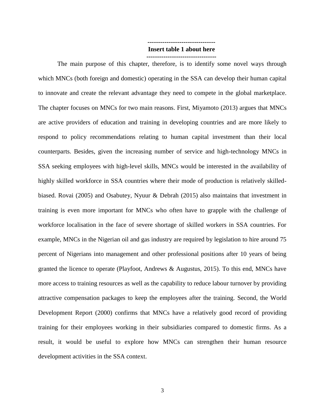## **-------------------------------- Insert table 1 about here ---------------------------------**

The main purpose of this chapter, therefore, is to identify some novel ways through which MNCs (both foreign and domestic) operating in the SSA can develop their human capital to innovate and create the relevant advantage they need to compete in the global marketplace. The chapter focuses on MNCs for two main reasons. First, Miyamoto (2013) argues that MNCs are active providers of education and training in developing countries and are more likely to respond to policy recommendations relating to human capital investment than their local counterparts. Besides, given the increasing number of service and high-technology MNCs in SSA seeking employees with high-level skills, MNCs would be interested in the availability of highly skilled workforce in SSA countries where their mode of production is relatively skilledbiased. Rovai (2005) and Osabutey, Nyuur & Debrah (2015) also maintains that investment in training is even more important for MNCs who often have to grapple with the challenge of workforce localisation in the face of severe shortage of skilled workers in SSA countries. For example, MNCs in the Nigerian oil and gas industry are required by legislation to hire around 75 percent of Nigerians into management and other professional positions after 10 years of being granted the licence to operate (Playfoot, Andrews & Augustus, 2015). To this end, MNCs have more access to training resources as well as the capability to reduce labour turnover by providing attractive compensation packages to keep the employees after the training. Second, the World Development Report (2000) confirms that MNCs have a relatively good record of providing training for their employees working in their subsidiaries compared to domestic firms. As a result, it would be useful to explore how MNCs can strengthen their human resource development activities in the SSA context.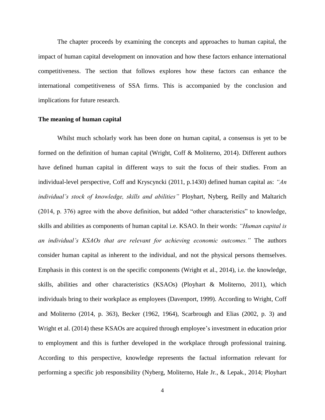The chapter proceeds by examining the concepts and approaches to human capital, the impact of human capital development on innovation and how these factors enhance international competitiveness. The section that follows explores how these factors can enhance the international competitiveness of SSA firms. This is accompanied by the conclusion and implications for future research.

## **The meaning of human capital**

Whilst much scholarly work has been done on human capital, a consensus is yet to be formed on the definition of human capital (Wright, Coff & Moliterno, 2014). Different authors have defined human capital in different ways to suit the focus of their studies. From an individual-level perspective, Coff and Kryscyncki (2011, p.1430) defined human capital as: *"An individual's stock of knowledge, skills and abilities"* Ployhart, Nyberg, Reilly and Maltarich (2014, p. 376) agree with the above definition, but added "other characteristics" to knowledge, skills and abilities as components of human capital i.e. KSAO. In their words: *"Human capital is an individual's KSAOs that are relevant for achieving economic outcomes."* The authors consider human capital as inherent to the individual, and not the physical persons themselves. Emphasis in this context is on the specific components (Wright et al., 2014), i.e. the knowledge, skills, abilities and other characteristics (KSAOs) (Ployhart & Moliterno, 2011), which individuals bring to their workplace as employees (Davenport, 1999). According to Wright, Coff and Moliterno (2014, p. 363), Becker (1962, 1964), Scarbrough and Elias (2002, p. 3) and Wright et al. (2014) these KSAOs are acquired through employee's investment in education prior to employment and this is further developed in the workplace through professional training. According to this perspective, knowledge represents the factual information relevant for performing a specific job responsibility (Nyberg, Moliterno, Hale Jr., & Lepak., 2014; Ployhart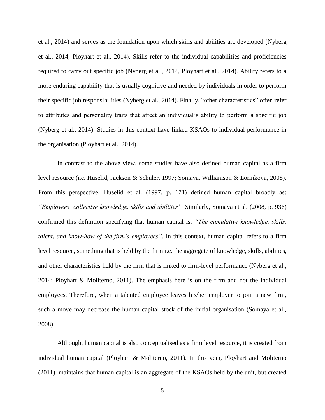et al., 2014) and serves as the foundation upon which skills and abilities are developed (Nyberg et al., 2014; Ployhart et al., 2014). Skills refer to the individual capabilities and proficiencies required to carry out specific job (Nyberg et al., 2014, Ployhart et al., 2014). Ability refers to a more enduring capability that is usually cognitive and needed by individuals in order to perform their specific job responsibilities (Nyberg et al., 2014). Finally, "other characteristics" often refer to attributes and personality traits that affect an individual's ability to perform a specific job (Nyberg et al., 2014). Studies in this context have linked KSAOs to individual performance in the organisation (Ployhart et al., 2014).

In contrast to the above view, some studies have also defined human capital as a firm level resource (i.e. Huselid, Jackson & Schuler, 1997; Somaya, Williamson & Lorinkova, 2008). From this perspective, Huselid et al. (1997, p. 171) defined human capital broadly as: *"Employees' collective knowledge, skills and abilities".* Similarly, Somaya et al. (2008, p. 936) confirmed this definition specifying that human capital is: *"The cumulative knowledge, skills, talent, and know-how of the firm's employees".* In this context, human capital refers to a firm level resource, something that is held by the firm i.e. the aggregate of knowledge, skills, abilities, and other characteristics held by the firm that is linked to firm-level performance (Nyberg et al., 2014; Ployhart & Moliterno, 2011). The emphasis here is on the firm and not the individual employees. Therefore, when a talented employee leaves his/her employer to join a new firm, such a move may decrease the human capital stock of the initial organisation (Somaya et al., 2008).

Although, human capital is also conceptualised as a firm level resource, it is created from individual human capital (Ployhart & Moliterno, 2011). In this vein, Ployhart and Moliterno (2011), maintains that human capital is an aggregate of the KSAOs held by the unit, but created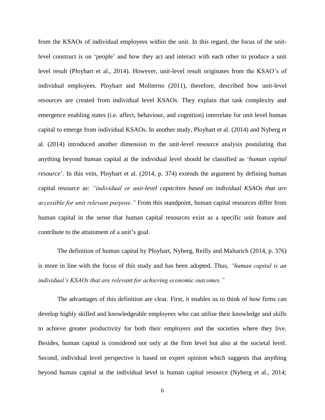from the KSAOs of individual employees within the unit. In this regard, the focus of the unitlevel construct is on 'people' and how they act and interact with each other to produce a unit level result (Ployhart et al., 2014). However, unit-level result originates from the KSAO's of individual employees. Ployhart and Moliterno (2011), therefore, described how unit-level resources are created from individual level KSAOs. They explain that task complexity and emergence enabling states (i.e. affect, behaviour, and cognition) interrelate for unit level human capital to emerge from individual KSAOs. In another study, Ployhart et al. (2014) and Nyberg et al. (2014) introduced another dimension to the unit-level resource analysis postulating that anything beyond human capital at the individual level should be classified as '*human capital resource*'. In this vein, Ployhart et al. (2014, p. 374) extends the argument by defining human capital resource as: *"individual or unit-level capacities based on individual KSAOs that are accessible for unit relevant purpose."* From this standpoint, human capital resources differ from human capital in the sense that human capital resources exist as a specific unit feature and contribute to the attainment of a unit's goal.

The definition of human capital by Ployhart, Nyberg, Reilly and Maltarich (2014, p. 376) is more in line with the focus of this study and has been adopted. Thus, *"human capital is an individual's KSAOs that are relevant for achieving economic outcomes."*

The advantages of this definition are clear. First, it enables us to think of how firms can develop highly skilled and knowledgeable employees who can utilise their knowledge and skills to achieve greater productivity for both their employers and the societies where they live. Besides, human capital is considered not only at the firm level but also at the societal level. Second, individual level perspective is based on expert opinion which suggests that anything beyond human capital at the individual level is human capital resource (Nyberg et al., 2014;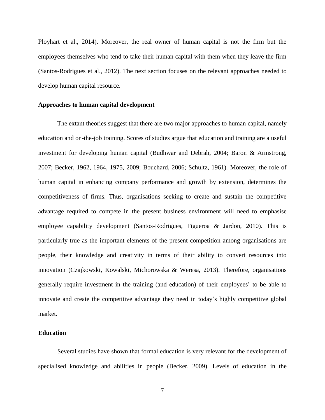Ployhart et al., 2014). Moreover, the real owner of human capital is not the firm but the employees themselves who tend to take their human capital with them when they leave the firm (Santos-Rodrigues et al., 2012). The next section focuses on the relevant approaches needed to develop human capital resource.

## **Approaches to human capital development**

The extant theories suggest that there are two major approaches to human capital, namely education and on-the-job training. Scores of studies argue that education and training are a useful investment for developing human capital (Budhwar and Debrah, 2004; Baron & Armstrong, 2007; Becker, 1962, 1964, 1975, 2009; Bouchard, 2006; Schultz, 1961). Moreover, the role of human capital in enhancing company performance and growth by extension, determines the competitiveness of firms. Thus, organisations seeking to create and sustain the competitive advantage required to compete in the present business environment will need to emphasise employee capability development (Santos-Rodrigues, Figueroa & Jardon, 2010). This is particularly true as the important elements of the present competition among organisations are people, their knowledge and creativity in terms of their ability to convert resources into innovation (Czajkowski, Kowalski, Michorowska & Weresa, 2013). Therefore, organisations generally require investment in the training (and education) of their employees' to be able to innovate and create the competitive advantage they need in today's highly competitive global market.

## **Education**

Several studies have shown that formal education is very relevant for the development of specialised knowledge and abilities in people (Becker, 2009). Levels of education in the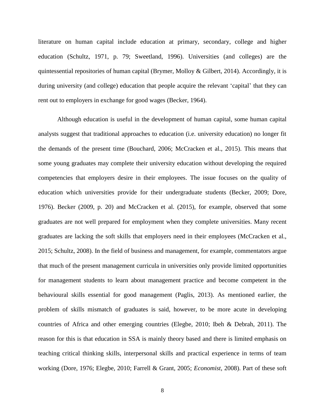literature on human capital include education at primary, secondary, college and higher education (Schultz, 1971, p. 79; Sweetland, 1996). Universities (and colleges) are the quintessential repositories of human capital (Brymer, Molloy & Gilbert, 2014). Accordingly, it is during university (and college) education that people acquire the relevant 'capital' that they can rent out to employers in exchange for good wages (Becker, 1964).

Although education is useful in the development of human capital, some human capital analysts suggest that traditional approaches to education (i.e. university education) no longer fit the demands of the present time (Bouchard, 2006; McCracken et al., 2015). This means that some young graduates may complete their university education without developing the required competencies that employers desire in their employees. The issue focuses on the quality of education which universities provide for their undergraduate students (Becker, 2009; Dore, 1976). Becker (2009, p. 20) and McCracken et al. (2015), for example, observed that some graduates are not well prepared for employment when they complete universities. Many recent graduates are lacking the soft skills that employers need in their employees (McCracken et al., 2015; Schultz, 2008). In the field of business and management, for example, commentators argue that much of the present management curricula in universities only provide limited opportunities for management students to learn about management practice and become competent in the behavioural skills essential for good management (Paglis, 2013). As mentioned earlier, the problem of skills mismatch of graduates is said, however, to be more acute in developing countries of Africa and other emerging countries (Elegbe, 2010; Ibeh & Debrah, 2011). The reason for this is that education in SSA is mainly theory based and there is limited emphasis on teaching critical thinking skills, interpersonal skills and practical experience in terms of team working (Dore, 1976; Elegbe, 2010; Farrell & Grant, 2005; *Economist*, 2008). Part of these soft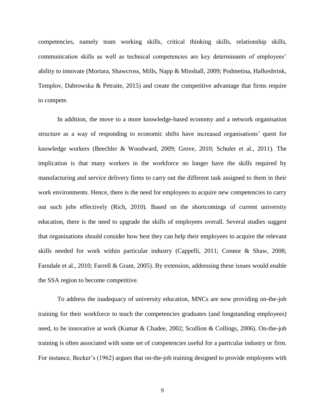competencies, namely team working skills, critical thinking skills, relationship skills, communication skills as well as technical competencies are key determinants of employees' ability to innovate (Mortara, Shawcross, Mills, Napp & Minshall, 2009; Podmetina, Hafkesbrink, Templov, Dabrowska & Petraite, 2015) and create the competitive advantage that firms require to compete.

In addition, the move to a more knowledge-based economy and a network organisation structure as a way of responding to economic shifts have increased organisations' quest for knowledge workers (Beechler & Woodward, 2009; Grove, 2010; Schuler et al., 2011). The implication is that many workers in the workforce no longer have the skills required by manufacturing and service delivery firms to carry out the different task assigned to them in their work environments. Hence, there is the need for employees to acquire new competencies to carry out such jobs effectively (Rich, 2010). Based on the shortcomings of current university education, there is the need to upgrade the skills of employees overall. Several studies suggest that organisations should consider how best they can help their employees to acquire the relevant skills needed for work within particular industry (Cappelli, 2011; Connor & Shaw, 2008; Farndale et al., 2010; Farrell & Grant, 2005). By extension, addressing these issues would enable the SSA region to become competitive.

To address the inadequacy of university education, MNCs are now providing on-the-job training for their workforce to teach the competencies graduates (and longstanding employees) need, to be innovative at work (Kumar & Chadee, 2002; Scullion & Collings, 2006). On-the-job training is often associated with some set of competencies useful for a particular industry or firm. For instance, Becker's (1962) argues that on-the-job training designed to provide employees with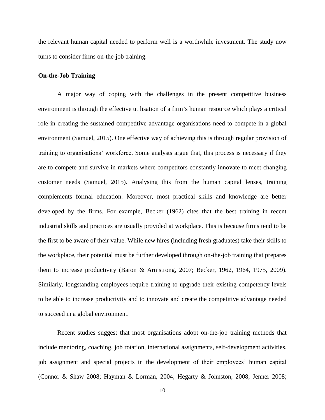the relevant human capital needed to perform well is a worthwhile investment. The study now turns to consider firms on-the-job training.

## **On-the-Job Training**

A major way of coping with the challenges in the present competitive business environment is through the effective utilisation of a firm's human resource which plays a critical role in creating the sustained competitive advantage organisations need to compete in a global environment (Samuel, 2015). One effective way of achieving this is through regular provision of training to organisations' workforce. Some analysts argue that, this process is necessary if they are to compete and survive in markets where competitors constantly innovate to meet changing customer needs (Samuel, 2015). Analysing this from the human capital lenses, training complements formal education. Moreover, most practical skills and knowledge are better developed by the firms. For example, Becker (1962) cites that the best training in recent industrial skills and practices are usually provided at workplace. This is because firms tend to be the first to be aware of their value. While new hires (including fresh graduates) take their skills to the workplace, their potential must be further developed through on-the-job training that prepares them to increase productivity (Baron & Armstrong, 2007; Becker, 1962, 1964, 1975, 2009). Similarly, longstanding employees require training to upgrade their existing competency levels to be able to increase productivity and to innovate and create the competitive advantage needed to succeed in a global environment.

Recent studies suggest that most organisations adopt on-the-job training methods that include mentoring, coaching, job rotation, international assignments, self-development activities, job assignment and special projects in the development of their employees' human capital (Connor & Shaw 2008; Hayman & Lorman, 2004; Hegarty & Johnston, 2008; Jenner 2008;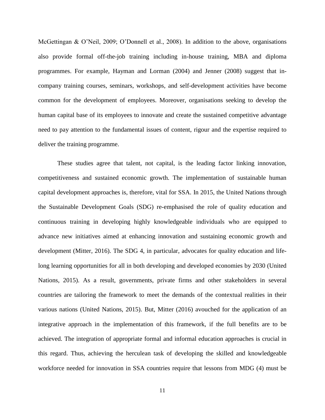McGettingan & O'Neil, 2009; O'Donnell et al., 2008). In addition to the above, organisations also provide formal off-the-job training including in-house training, MBA and diploma programmes. For example, Hayman and Lorman (2004) and Jenner (2008) suggest that incompany training courses, seminars, workshops, and self-development activities have become common for the development of employees. Moreover, organisations seeking to develop the human capital base of its employees to innovate and create the sustained competitive advantage need to pay attention to the fundamental issues of content, rigour and the expertise required to deliver the training programme.

These studies agree that talent, not capital, is the leading factor linking innovation, competitiveness and sustained economic growth. The implementation of sustainable human capital development approaches is, therefore, vital for SSA. In 2015, the United Nations through the Sustainable Development Goals (SDG) re-emphasised the role of quality education and continuous training in developing highly knowledgeable individuals who are equipped to advance new initiatives aimed at enhancing innovation and sustaining economic growth and development (Mitter, 2016). The SDG 4, in particular, advocates for quality education and lifelong learning opportunities for all in both developing and developed economies by 2030 (United Nations, 2015). As a result, governments, private firms and other stakeholders in several countries are tailoring the framework to meet the demands of the contextual realities in their various nations (United Nations, 2015). But, Mitter (2016) avouched for the application of an integrative approach in the implementation of this framework, if the full benefits are to be achieved. The integration of appropriate formal and informal education approaches is crucial in this regard. Thus, achieving the herculean task of developing the skilled and knowledgeable workforce needed for innovation in SSA countries require that lessons from MDG (4) must be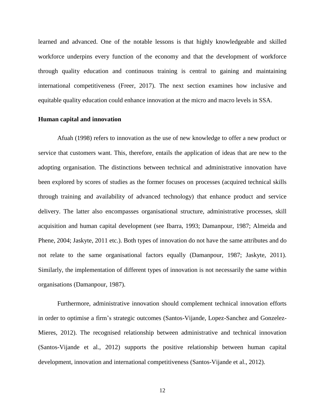learned and advanced. One of the notable lessons is that highly knowledgeable and skilled workforce underpins every function of the economy and that the development of workforce through quality education and continuous training is central to gaining and maintaining international competitiveness (Freer, 2017). The next section examines how inclusive and equitable quality education could enhance innovation at the micro and macro levels in SSA.

## **Human capital and innovation**

Afuah (1998) refers to innovation as the use of new knowledge to offer a new product or service that customers want. This, therefore, entails the application of ideas that are new to the adopting organisation. The distinctions between technical and administrative innovation have been explored by scores of studies as the former focuses on processes (acquired technical skills through training and availability of advanced technology) that enhance product and service delivery. The latter also encompasses organisational structure, administrative processes, skill acquisition and human capital development (see Ibarra, 1993; Damanpour, 1987; Almeida and Phene, 2004; Jaskyte, 2011 etc.). Both types of innovation do not have the same attributes and do not relate to the same organisational factors equally (Damanpour, 1987; Jaskyte, 2011). Similarly, the implementation of different types of innovation is not necessarily the same within organisations (Damanpour, 1987).

Furthermore, administrative innovation should complement technical innovation efforts in order to optimise a firm's strategic outcomes (Santos-Vijande, Lopez-Sanchez and Gonzelez-Mieres, 2012). The recognised relationship between administrative and technical innovation (Santos-Vijande et al., 2012) supports the positive relationship between human capital development, innovation and international competitiveness (Santos-Vijande et al., 2012).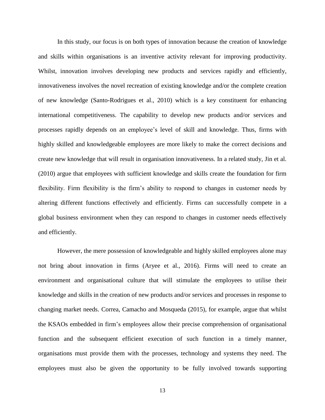In this study, our focus is on both types of innovation because the creation of knowledge and skills within organisations is an inventive activity relevant for improving productivity. Whilst, innovation involves developing new products and services rapidly and efficiently, innovativeness involves the novel recreation of existing knowledge and/or the complete creation of new knowledge (Santo-Rodrigues et al., 2010) which is a key constituent for enhancing international competitiveness. The capability to develop new products and/or services and processes rapidly depends on an employee's level of skill and knowledge. Thus, firms with highly skilled and knowledgeable employees are more likely to make the correct decisions and create new knowledge that will result in organisation innovativeness. In a related study, Jin et al. (2010) argue that employees with sufficient knowledge and skills create the foundation for firm flexibility. Firm flexibility is the firm's ability to respond to changes in customer needs by altering different functions effectively and efficiently. Firms can successfully compete in a global business environment when they can respond to changes in customer needs effectively and efficiently.

However, the mere possession of knowledgeable and highly skilled employees alone may not bring about innovation in firms (Aryee et al., 2016). Firms will need to create an environment and organisational culture that will stimulate the employees to utilise their knowledge and skills in the creation of new products and/or services and processes in response to changing market needs. Correa, Camacho and Mosqueda (2015), for example, argue that whilst the KSAOs embedded in firm's employees allow their precise comprehension of organisational function and the subsequent efficient execution of such function in a timely manner, organisations must provide them with the processes, technology and systems they need. The employees must also be given the opportunity to be fully involved towards supporting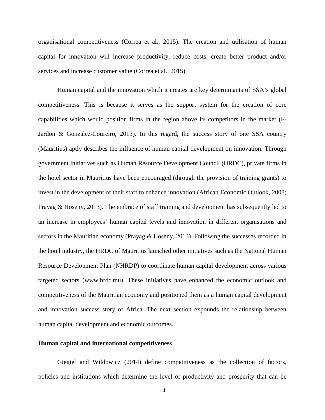organisational competitiveness (Correa et al., 2015). The creation and utilisation of human capital for innovation will increase productivity, reduce costs, create better product and/or services and increase customer value (Correa et al., 2015).

Human capital and the innovation which it creates are key determinants of SSA's global competitiveness. This is because it serves as the support system for the creation of core capabilities which would position firms in the region above its competitors in the market (F-Jardon & Gonzalez-Loureiro, 2013). In this regard, the success story of one SSA country (Mauritius) aptly describes the influence of human capital development on innovation. Through government initiatives such as Human Resource Development Council (HRDC), private firms in the hotel sector in Mauritius have been encouraged (through the provision of training grants) to invest in the development of their staff to enhance innovation (African Economic Outlook, 2008; Prayag & Hoseny, 2013). The embrace of staff training and development has subsequently led to an increase in employees' human capital levels and innovation in different organisations and sectors in the Mauritian economy (Prayag & Hoseny, 2013). Following the successes recorded in the hotel industry, the HRDC of Mauritius launched other initiatives such as the National Human Resource Development Plan (NHRDP) to coordinate human capital development across various targeted sectors [\(www.hrdc.mu\)](http://www.hrdc.mu/). These initiatives have enhanced the economic outlook and competitiveness of the Mauritian economy and positioned them as a human capital development and innovation success story of Africa. The next section expounds the relationship between human capital development and economic outcomes.

#### **Human capital and international competitiveness**

Giegiel and Wildowicz (2014) define competitiveness as the collection of factors, policies and institutions which determine the level of productivity and prosperity that can be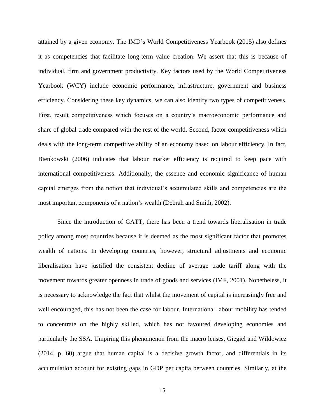attained by a given economy. The IMD's World Competitiveness Yearbook (2015) also defines it as competencies that facilitate long-term value creation. We assert that this is because of individual, firm and government productivity. Key factors used by the World Competitiveness Yearbook (WCY) include economic performance, infrastructure, government and business efficiency. Considering these key dynamics, we can also identify two types of competitiveness. First, result competitiveness which focuses on a country's macroeconomic performance and share of global trade compared with the rest of the world. Second, factor competitiveness which deals with the long-term competitive ability of an economy based on labour efficiency. In fact, Bienkowski (2006) indicates that labour market efficiency is required to keep pace with international competitiveness. Additionally, the essence and economic significance of human capital emerges from the notion that individual's accumulated skills and competencies are the most important components of a nation's wealth (Debrah and Smith, 2002).

Since the introduction of GATT, there has been a trend towards liberalisation in trade policy among most countries because it is deemed as the most significant factor that promotes wealth of nations. In developing countries, however, structural adjustments and economic liberalisation have justified the consistent decline of average trade tariff along with the movement towards greater openness in trade of goods and services (IMF, 2001). Nonetheless, it is necessary to acknowledge the fact that whilst the movement of capital is increasingly free and well encouraged, this has not been the case for labour. International labour mobility has tended to concentrate on the highly skilled, which has not favoured developing economies and particularly the SSA. Umpiring this phenomenon from the macro lenses, Giegiel and Wildowicz (2014, p. 60) argue that human capital is a decisive growth factor, and differentials in its accumulation account for existing gaps in GDP per capita between countries. Similarly, at the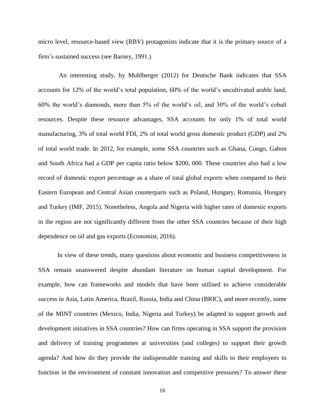micro level, resource-based view (RBV) protagonists indicate that it is the primary source of a firm's sustained success (see Barney, 1991.)

 An interesting study, by Muhlberger (2012) for Deutsche Bank indicates that SSA accounts for 12% of the world's total population, 60% of the world's uncultivated arable land, 60% the world's diamonds, more than 5% of the world's oil, and 30% of the world's cobalt resources. Despite these resource advantages, SSA accounts for only 1% of total world manufacturing, 3% of total world FDI, 2% of total world gross domestic product (GDP) and 2% of total world trade. In 2012, for example, some SSA countries such as Ghana, Congo, Gabon and South Africa had a GDP per capita ratio below \$200, 000. These countries also had a low record of domestic export percentage as a share of total global exports when compared to their Eastern European and Central Asian counterparts such as Poland, Hungary, Romania, Hungary and Turkey (IMF, 2015). Nonetheless, Angola and Nigeria with higher rates of domestic exports in the region are not significantly different from the other SSA countries because of their high dependence on oil and gas exports (Economist, 2016).

 In view of these trends, many questions about economic and business competitiveness in SSA remain unanswered despite abundant literature on human capital development. For example, how can frameworks and models that have been utilised to achieve considerable success in Asia, Latin America, Brazil, Russia, India and China (BRIC), and more recently, some of the MINT countries (Mexico, India, Nigeria and Turkey) be adapted to support growth and development initiatives in SSA countries? How can firms operating in SSA support the provision and delivery of training programmes at universities (and colleges) to support their growth agenda? And how do they provide the indispensable training and skills to their employees to function in the environment of constant innovation and competitive pressures? To answer these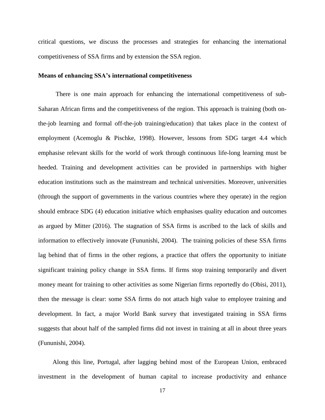critical questions, we discuss the processes and strategies for enhancing the international competitiveness of SSA firms and by extension the SSA region.

## **Means of enhancing SSA's international competitiveness**

 There is one main approach for enhancing the international competitiveness of sub-Saharan African firms and the competitiveness of the region. This approach is training (both onthe-job learning and formal off-the-job training/education) that takes place in the context of employment (Acemoglu & Pischke, 1998). However, lessons from SDG target 4.4 which emphasise relevant skills for the world of work through continuous life-long learning must be heeded. Training and development activities can be provided in partnerships with higher education institutions such as the mainstream and technical universities. Moreover, universities (through the support of governments in the various countries where they operate) in the region should embrace SDG (4) education initiative which emphasises quality education and outcomes as argued by Mitter (2016). The stagnation of SSA firms is ascribed to the lack of skills and information to effectively innovate (Fununishi, 2004). The training policies of these SSA firms lag behind that of firms in the other regions, a practice that offers the opportunity to initiate significant training policy change in SSA firms. If firms stop training temporarily and divert money meant for training to other activities as some Nigerian firms reportedly do (Obisi, 2011), then the message is clear: some SSA firms do not attach high value to employee training and development. In fact, a major World Bank survey that investigated training in SSA firms suggests that about half of the sampled firms did not invest in training at all in about three years (Fununishi, 2004).

 Along this line, Portugal, after lagging behind most of the European Union, embraced investment in the development of human capital to increase productivity and enhance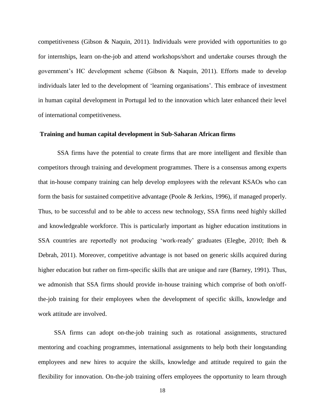competitiveness (Gibson & Naquin, 2011). Individuals were provided with opportunities to go for internships, learn on-the-job and attend workshops/short and undertake courses through the government's HC development scheme (Gibson & Naquin, 2011). Efforts made to develop individuals later led to the development of 'learning organisations'. This embrace of investment in human capital development in Portugal led to the innovation which later enhanced their level of international competitiveness.

## **Training and human capital development in Sub-Saharan African firms**

 SSA firms have the potential to create firms that are more intelligent and flexible than competitors through training and development programmes. There is a consensus among experts that in-house company training can help develop employees with the relevant KSAOs who can form the basis for sustained competitive advantage (Poole & Jerkins, 1996), if managed properly. Thus, to be successful and to be able to access new technology, SSA firms need highly skilled and knowledgeable workforce. This is particularly important as higher education institutions in SSA countries are reportedly not producing 'work-ready' graduates (Elegbe, 2010; Ibeh & Debrah, 2011). Moreover, competitive advantage is not based on generic skills acquired during higher education but rather on firm-specific skills that are unique and rare (Barney, 1991). Thus, we admonish that SSA firms should provide in-house training which comprise of both on/offthe-job training for their employees when the development of specific skills, knowledge and work attitude are involved.

 SSA firms can adopt on-the-job training such as rotational assignments, structured mentoring and coaching programmes, international assignments to help both their longstanding employees and new hires to acquire the skills, knowledge and attitude required to gain the flexibility for innovation. On-the-job training offers employees the opportunity to learn through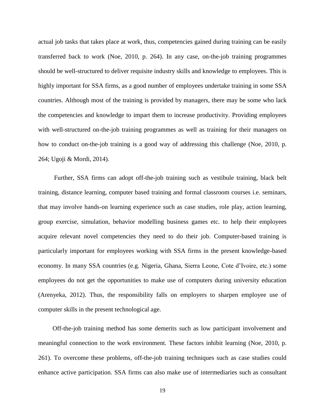actual job tasks that takes place at work, thus, competencies gained during training can be easily transferred back to work (Noe, 2010, p. 264). In any case, on-the-job training programmes should be well-structured to deliver requisite industry skills and knowledge to employees. This is highly important for SSA firms, as a good number of employees undertake training in some SSA countries. Although most of the training is provided by managers, there may be some who lack the competencies and knowledge to impart them to increase productivity. Providing employees with well-structured on-the-job training programmes as well as training for their managers on how to conduct on-the-job training is a good way of addressing this challenge (Noe, 2010, p. 264; Ugoji & Mordi, 2014).

 Further, SSA firms can adopt off-the-job training such as vestibule training, black belt training, distance learning, computer based training and formal classroom courses i.e. seminars, that may involve hands-on learning experience such as case studies, role play, action learning, group exercise, simulation, behavior modelling business games etc. to help their employees acquire relevant novel competencies they need to do their job. Computer-based training is particularly important for employees working with SSA firms in the present knowledge-based economy. In many SSA countries (e.g. Nigeria, Ghana, Sierra Leone, Cote d'Ivoire, etc.) some employees do not get the opportunities to make use of computers during university education (Arenyeka, 2012). Thus, the responsibility falls on employers to sharpen employee use of computer skills in the present technological age.

 Off-the-job training method has some demerits such as low participant involvement and meaningful connection to the work environment. These factors inhibit learning (Noe, 2010, p. 261). To overcome these problems, off-the-job training techniques such as case studies could enhance active participation. SSA firms can also make use of intermediaries such as consultant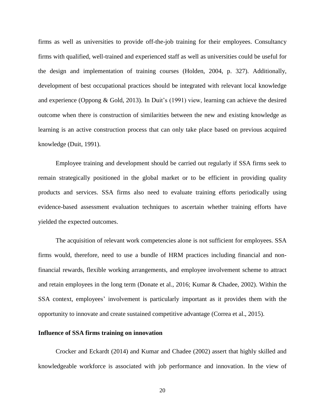firms as well as universities to provide off-the-job training for their employees. Consultancy firms with qualified, well-trained and experienced staff as well as universities could be useful for the design and implementation of training courses (Holden, 2004, p. 327). Additionally, development of best occupational practices should be integrated with relevant local knowledge and experience (Oppong & Gold, 2013). In Duit's (1991) view, learning can achieve the desired outcome when there is construction of similarities between the new and existing knowledge as learning is an active construction process that can only take place based on previous acquired knowledge (Duit, 1991).

 Employee training and development should be carried out regularly if SSA firms seek to remain strategically positioned in the global market or to be efficient in providing quality products and services. SSA firms also need to evaluate training efforts periodically using evidence-based assessment evaluation techniques to ascertain whether training efforts have yielded the expected outcomes.

 The acquisition of relevant work competencies alone is not sufficient for employees. SSA firms would, therefore, need to use a bundle of HRM practices including financial and nonfinancial rewards, flexible working arrangements, and employee involvement scheme to attract and retain employees in the long term (Donate et al., 2016; Kumar & Chadee, 2002). Within the SSA context, employees' involvement is particularly important as it provides them with the opportunity to innovate and create sustained competitive advantage (Correa et al., 2015).

# **Influence of SSA firms training on innovation**

 Crocker and Eckardt (2014) and Kumar and Chadee (2002) assert that highly skilled and knowledgeable workforce is associated with job performance and innovation. In the view of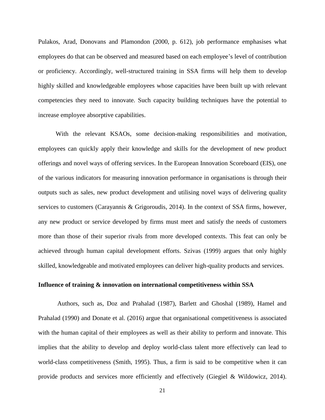Pulakos, Arad, Donovans and Plamondon (2000, p. 612), job performance emphasises what employees do that can be observed and measured based on each employee's level of contribution or proficiency. Accordingly, well-structured training in SSA firms will help them to develop highly skilled and knowledgeable employees whose capacities have been built up with relevant competencies they need to innovate. Such capacity building techniques have the potential to increase employee absorptive capabilities.

 With the relevant KSAOs, some decision-making responsibilities and motivation, employees can quickly apply their knowledge and skills for the development of new product offerings and novel ways of offering services. In the European Innovation Scoreboard (EIS), one of the various indicators for measuring innovation performance in organisations is through their outputs such as sales, new product development and utilising novel ways of delivering quality services to customers (Carayannis & Grigoroudis, 2014). In the context of SSA firms, however, any new product or service developed by firms must meet and satisfy the needs of customers more than those of their superior rivals from more developed contexts. This feat can only be achieved through human capital development efforts. Szivas (1999) argues that only highly skilled, knowledgeable and motivated employees can deliver high-quality products and services.

## **Influence of training & innovation on international competitiveness within SSA**

 Authors, such as, Doz and Prahalad (1987), Barlett and Ghoshal (1989), Hamel and Prahalad (1990) and Donate et al. (2016) argue that organisational competitiveness is associated with the human capital of their employees as well as their ability to perform and innovate. This implies that the ability to develop and deploy world-class talent more effectively can lead to world-class competitiveness (Smith, 1995). Thus, a firm is said to be competitive when it can provide products and services more efficiently and effectively (Giegiel & Wildowicz, 2014).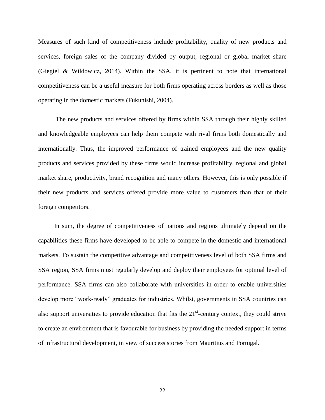Measures of such kind of competitiveness include profitability, quality of new products and services, foreign sales of the company divided by output, regional or global market share (Giegiel & Wildowicz, 2014). Within the SSA, it is pertinent to note that international competitiveness can be a useful measure for both firms operating across borders as well as those operating in the domestic markets (Fukunishi, 2004).

 The new products and services offered by firms within SSA through their highly skilled and knowledgeable employees can help them compete with rival firms both domestically and internationally. Thus, the improved performance of trained employees and the new quality products and services provided by these firms would increase profitability, regional and global market share, productivity, brand recognition and many others. However, this is only possible if their new products and services offered provide more value to customers than that of their foreign competitors.

 In sum, the degree of competitiveness of nations and regions ultimately depend on the capabilities these firms have developed to be able to compete in the domestic and international markets. To sustain the competitive advantage and competitiveness level of both SSA firms and SSA region, SSA firms must regularly develop and deploy their employees for optimal level of performance. SSA firms can also collaborate with universities in order to enable universities develop more "work-ready" graduates for industries. Whilst, governments in SSA countries can also support universities to provide education that fits the 21<sup>st</sup>-century context, they could strive to create an environment that is favourable for business by providing the needed support in terms of infrastructural development, in view of success stories from Mauritius and Portugal.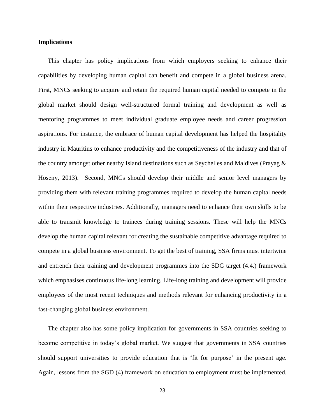## **Implications**

This chapter has policy implications from which employers seeking to enhance their capabilities by developing human capital can benefit and compete in a global business arena. First, MNCs seeking to acquire and retain the required human capital needed to compete in the global market should design well-structured formal training and development as well as mentoring programmes to meet individual graduate employee needs and career progression aspirations. For instance, the embrace of human capital development has helped the hospitality industry in Mauritius to enhance productivity and the competitiveness of the industry and that of the country amongst other nearby Island destinations such as Seychelles and Maldives (Prayag & Hoseny, 2013). Second, MNCs should develop their middle and senior level managers by providing them with relevant training programmes required to develop the human capital needs within their respective industries. Additionally, managers need to enhance their own skills to be able to transmit knowledge to trainees during training sessions. These will help the MNCs develop the human capital relevant for creating the sustainable competitive advantage required to compete in a global business environment. To get the best of training, SSA firms must intertwine and entrench their training and development programmes into the SDG target (4.4.) framework which emphasises continuous life-long learning. Life-long training and development will provide employees of the most recent techniques and methods relevant for enhancing productivity in a fast-changing global business environment.

The chapter also has some policy implication for governments in SSA countries seeking to become competitive in today's global market. We suggest that governments in SSA countries should support universities to provide education that is 'fit for purpose' in the present age. Again, lessons from the SGD (4) framework on education to employment must be implemented.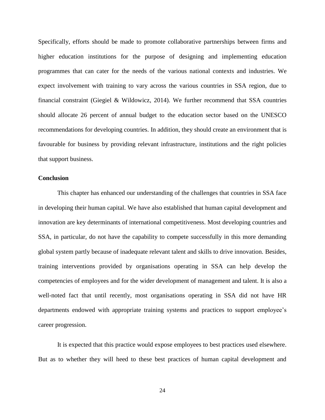Specifically, efforts should be made to promote collaborative partnerships between firms and higher education institutions for the purpose of designing and implementing education programmes that can cater for the needs of the various national contexts and industries. We expect involvement with training to vary across the various countries in SSA region, due to financial constraint (Giegiel & Wildowicz, 2014). We further recommend that SSA countries should allocate 26 percent of annual budget to the education sector based on the UNESCO recommendations for developing countries. In addition, they should create an environment that is favourable for business by providing relevant infrastructure, institutions and the right policies that support business.

## **Conclusion**

 This chapter has enhanced our understanding of the challenges that countries in SSA face in developing their human capital. We have also established that human capital development and innovation are key determinants of international competitiveness. Most developing countries and SSA, in particular, do not have the capability to compete successfully in this more demanding global system partly because of inadequate relevant talent and skills to drive innovation. Besides, training interventions provided by organisations operating in SSA can help develop the competencies of employees and for the wider development of management and talent. It is also a well-noted fact that until recently, most organisations operating in SSA did not have HR departments endowed with appropriate training systems and practices to support employee's career progression.

It is expected that this practice would expose employees to best practices used elsewhere. But as to whether they will heed to these best practices of human capital development and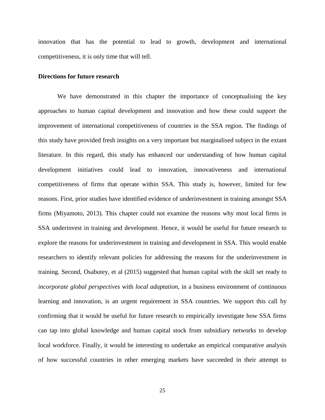innovation that has the potential to lead to growth, development and international competitiveness, it is only time that will tell.

## **Directions for future research**

We have demonstrated in this chapter the importance of conceptualising the key approaches to human capital development and innovation and how these could support the improvement of international competitiveness of countries in the SSA region. The findings of this study have provided fresh insights on a very important but marginalised subject in the extant literature. In this regard, this study has enhanced our understanding of how human capital development initiatives could lead to innovation, innovativeness and international competitiveness of firms that operate within SSA. This study is, however, limited for few reasons. First, prior studies have identified evidence of underinvestment in training amongst SSA firms (Miyamoto, 2013). This chapter could not examine the reasons why most local firms in SSA underinvest in training and development. Hence, it would be useful for future research to explore the reasons for underinvestment in training and development in SSA. This would enable researchers to identify relevant policies for addressing the reasons for the underinvestment in training. Second, Osabutey, et al (2015) suggested that human capital with the skill set ready to *incorporate global perspectives* with *local adaptation*, in a business environment of continuous learning and innovation, is an urgent requirement in SSA countries. We support this call by confirming that it would be useful for future research to empirically investigate how SSA firms can tap into global knowledge and human capital stock from subsidiary networks to develop local workforce. Finally, it would be interesting to undertake an empirical comparative analysis of how successful countries in other emerging markets have succeeded in their attempt to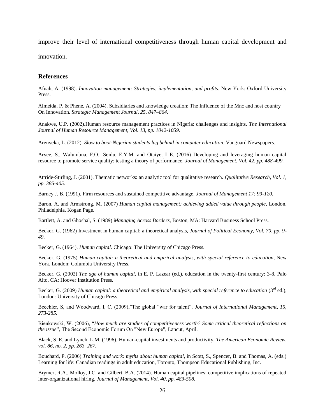improve their level of international competitiveness through human capital development and

innovation.

#### **References**

Afuah, A. (1998). *Innovation management: Strategies, implementation, and profits*. New York: Oxford University Press.

Almeida, P. & Phene, A. (2004). Subsidiaries and knowledge creation: The Influence of the Mnc and host country On Innovation. *Strategic Management Journal, 25, 847–864.*

Anakwe, U.P. (2002).Human resource management practices in Nigeria: challenges and insights. *The International Journal of Human Resource Management, Vol. 13, pp. 1042-1059.*

Arenyeka, L. (2012). *Slow to boot-Nigerian students lag behind in computer education.* Vanguard Newspapers.

Aryee, S., Walumbua, F.O., Seidu, E.Y.M. and Otaiye, L.E. (2016) Developing and leveraging human capital resource to promote service quality: testing a theory of performance, *Journal of Management, Vol. 42, pp. 488-499.*

Attride-Stirling, J. (2001). Thematic networks: an analytic tool for qualitative research. *Qualitative Research, Vol. 1, pp. 385-405*.

Barney J. B. (1991). Firm resources and sustained competitive advantage. *Journal of Management 17: 99-120.*

Baron, A. and Armstrong, M. (2007) *Human capital management: achieving added value through people*, London, Philadelphia, Kogan Page.

Bartlett, A. and Ghoshal, S. (1989) *Managing Across Borders,* Boston, MA: Harvard Business School Press.

Becker, G. (1962) Investment in human capital: a theoretical analysis, *Journal of Political Economy, Vol. 70, pp. 9- 49.*

Becker, G. (1964). *Human capital.* Chicago: The University of Chicago Press.

Becker, G. (1975) *Human capital: a theoretical and empirical analysis, with special reference to education*, New York, London: Columbia University Press.

Becker, G. (2002) *The age of human capital*, in E. P. Lazear (ed.), education in the twenty-first century: 3-8, Palo Alto, CA: Hoover Institution Press.

Becker, G. (2009) *Human capital: a theoretical and empirical analysis, with special reference to education* (3<sup>rd</sup> ed.), London: University of Chicago Press.

Beechler, S, and Woodward, I, C. (2009),"The global "war for talent", *Journal of International Management, 15, 273-285.*

Bienkowski, W. (2006), "*How much are studies of competitiveness worth? Some critical theoretical reflections on the issue*", The Second Economic Forum On "New Europe", Lancut, April.

Black, S. E. and Lynch, L.M. (1996). Human-capital investments and productivity. *The American Economic Review, vol. 86, no. 2, pp. 263–267.*

Bouchard, P. (2006) *Training and work: myths about human capital*, in Scott, S., Spencer, B. and Thomas, A. (eds.) Learning for life: Canadian readings in adult education, Toronto, Thompson Educational Publishing, Inc.

Brymer, R.A., Molloy, J.C. and Gilbert, B.A. (2014). Human capital pipelines: competitive implications of repeated inter-organizational hiring. *Journal of Management, Vol. 40, pp. 483-508.*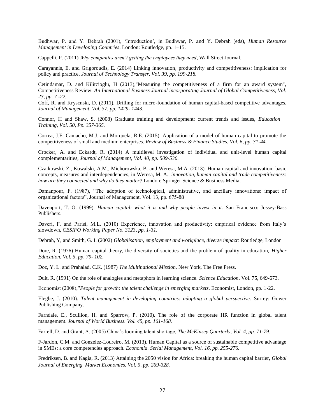Budhwar, P. and Y. Debrah (2001), 'Introduction', in Budhwar, P. and Y. Debrah (eds), *Human Resource Management in Developing Countries*. London: Routledge, pp. 1–15.

Cappelli, P. (2011) *Why companies aren't getting the employees they need*, Wall Street Journal.

Carayannis, E. and Grigoroudis, E. (2014) Linking innovation, productivity and competitiveness: implication for policy and practice, *Journal of Technology Transfer, Vol. 39, pp. 199-218.* 

Cetindamar, D. and Kilitcioglu, H (2013),"Measuring the competitiveness of a firm for an award system", Competitiveness Review: *An International Business Journal incorporating Journal of Global Competitiveness, Vol. 23, pp. 7 -22.*

Coff, R. and Kryscnski, D. (2011). Drilling for micro-foundation of human capital-based competitive advantages, *Journal of Management, Vol. 37, pp. 1429- 1443.*

Connor, H and Shaw, S. (2008) Graduate training and development: current trends and issues, *Education + Training, Vol. 50, Pp. 357-365.*

Correa, J.E. Camacho, M.J. and Morquela, R.E. (2015). Application of a model of human capital to promote the competitiveness of small and medium enterprises. *Review of Business & Finance Studies, Vol. 6, pp. 31-44.*

Crocker, A. and Eckardt, R. (2014) A multilevel investigation of individual and unit-level human capital complementarities, *Journal of Management, Vol. 40, pp. 509-530.*

Czajkowski, Z., Kowalski, A.M., Michorowska, B. and Weresa, M.A. (2013). Human capital and innovation: basic concepts, measures and interdependencies, in Weresa, M. A., *innovation, human capital and trade competitiveness: how are they connected and why do they matter?* London: Springer Science & Business Media.

Damanpour, F. (1987), "The adoption of technological, administrative, and ancillary innovations: impact of organizational factors", Journal of Management, Vol. 13, pp. 675-88

Davenport, T. O. (1999). *Human capital: what it is and why people invest in it.* San Francisco: Jossey-Bass Publishers.

Daveri, F. and Parisi, M.L. (2010) Experience, innovation and productivity: empirical evidence from Italy's slowdown, *CESIFO Working Paper No. 3123, pp. 1-31*.

Debrah, Y, and Smith, G. I. (2002) *Globalisation, employment and workplace, diverse impact:* Routledge, London

Dore, R. (1976) Human capital theory, the diversity of societies and the problem of quality in education, *Higher Education, Vol. 5, pp. 79- 102.*

Doz, Y. L. and Prahalad, C.K. (1987) *The Multinational Mission,* New York, The Free Press.

Duit, R. (1991) On the role of analogies and metaphors in learning science. *Science Education*, Vol. 75, 649-673.

Economist (2008),"*People for growth: the talent challenge in emerging markets*, Economist, London, pp. 1-22.

Elegbe, J. (2010). *Talent management in developing countries: adopting a global perspective.* Surrey: Gower Publishing Company.

Farndale, E., Scullion, H. and Sparrow, P. (2010). The role of the corporate HR function in global talent management. *Journal of World Business. Vol. 45, pp. 161-168.*

Farrell, D. and Grant, A. (2005) China's looming talent shortage, *The McKinsey Quarterly, Vol. 4, pp. 71-79.*

F-Jardon, C.M. and Gonzelez-Loureiro, M. (2013). Human Capital as a source of sustainable competitive advantage in SMEs: a core competencies approach. *Economia. Serial Management, Vol. 16, pp. 255-276.*

Fredriksen, B. and Kagia, R. (2013) Attaining the 2050 vision for Africa: breaking the human capital barrier, *Global Journal of Emerging Market Economies, Vol. 5, pp. 269-328.*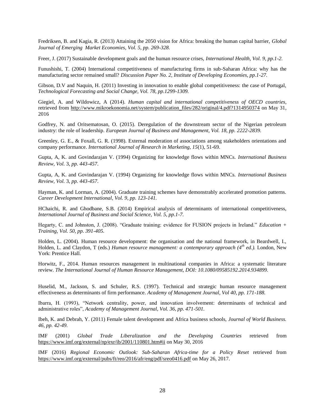Fredriksen, B. and Kagia, R. (2013) Attaining the 2050 vision for Africa: breaking the human capital barrier, *Global Journal of Emerging Market Economies, Vol. 5, pp. 269-328.*

Freer, J. (2017) Sustainable development goals and the human resource crises, *International Health, Vol. 9, pp.1-2.*

Funushishi, T. (2004) International competitiveness of manufacturing firms in sub-Saharan Africa: why has the manufacturing sector remained small? *Discussion Paper No. 2, Institute of Developing Economies, pp.1-27.*

Gibson, D.V and Naquin, H. (2011) Investing in innovation to enable global competitiveness: the case of Portugal, *Technological Forecasting and Social Change, Vol. 78, pp.1299-1309.*

Giegiel, A. and Wildowicz, A (2014). *Human capital and international competitiveness of OECD countries,*  retrieved from [http://www.mikroekonomia.net/system/publication\\_files/282/original/4.pdf?1314950374](http://www.mikroekonomia.net/system/publication_files/282/original/4.pdf?1314950374) on May 31, 2016

Godfrey, N. and Oritsematosan, O. (2015). Deregulation of the downstream sector of the Nigerian petroleum industry: the role of leadership. *European Journal of Business and Management, Vol. 18, pp. 2222-2839.*

Greenley, G. E., & Foxall, G. R. (1998). External moderation of associations among stakeholders orientations and company performance. *International Journal of Research in Marketing, 15*(1), 51-69.

Gupta, A, K. and Govindarajan V. (1994) Organizing for knowledge flows within MNCs. *International Business Review, Vol.* 3, *pp. 443-457*.

Gupta, A, K. and Govindarajan V. (1994) Organizing for knowledge flows within MNCs. *International Business Review, Vol.* 3, *pp. 443-457*.

Hayman, K. and Lorman, A. (2004). Graduate training schemes have demonstrably accelerated promotion patterns. *Career Development International, Vol. 9, pp. 123-141.*

HChaichi, R. and Ghodbane, S.B. (2014) Empirical analysis of determinants of international competitiveness, *International Journal of Business and Social Science, Vol. 5, pp.1-7.*

Hegarty, C. and Johnston, J. (2008). "Graduate training: evidence for FUSION projects in Ireland." *Education + Training, Vol. 50, pp. 391-405.*

Holden, L. (2004). Human resource development: the organisation and the national framework, in Beardwell, I., Holden, L. and Claydon, T (eds.) *Human resource management: a contemporary approach (4th ed.).* London, New York: Prentice Hall.

Horwitz, F., 2014. Human resources management in multinational companies in Africa: a systematic literature review. *The International Journal of Human Resource Management, DOI: 10.1080/09585192.2014.934899.*

Huselid, M., Jackson, S. and Schuler, R.S. (1997). Technical and strategic human resource management effectiveness as determinants of firm performance. *Academy of Management Journal, Vol 40, pp. 171-188.*

Ibarra, H. (1993), "Network centrality, power, and innovation involvement: determinants of technical and administrative roles", *Academy of Management Journal, Vol. 36, pp. 471-501.*

Ibeh, K. and Debrah, Y. (2011) Female talent development and Africa business schools, *Journal of World Business. 46, pp. 42-49.*

IMF (2001) *Global Trade Liberalization and the Developing Countries* retrieved from <https://www.imf.org/external/np/exr/ib/2001/110801.htm#ii> on May 30, 2016

IMF (2016) *Regional Economic Outlook: Sub-Saharan Africa-time for a Policy Reset* retrieved from <https://www.imf.org/external/pubs/ft/reo/2016/afr/eng/pdf/sreo0416.pdf> on May 26, 2017.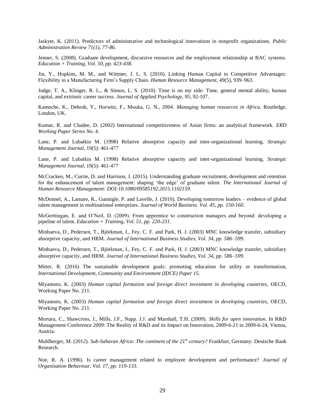Jaskyte, K. (2011). Predictors of administrative and technological innovations in nonprofit organizations. *Public Administration Review 71(1), 77-86.*

Jenner, S. (2008). Graduate development, discursive resources and the employment relationship at BAC systems. *Education + Training, Vol. 50, pp. 423-438.*

Jin, Y., Hopkins, M. M., and Wittmer, J. L. S. (2010). Linking Human Capital to Competitive Advantages: Flexibility in a Manufacturing Firm's Supply Chain. *Human Resource Management*, 49(5), 939–963.

Judge, T. A., Klinger, R. L., & Simon, L. S. (2010). Time is on my side: Time, general mental ability, human capital, and extrinsic career success. *Journal of Applied Psychology, 95*, 92-107.

Kamoche, K., Debrah, Y., Horwitz, F., Muuka, G. N., 2004. *Managing human resources in Africa*. Routledge, London, UK.

Kumar, R. and Chadee, D. (2002) International competitiveness of Asian firms: an analytical framework. *ERD Working Paper Series No. 4.*

Lane, P. and Lubatkin M. (1998) Relative absorptive capacity and inter-organizational learning. *Strategic Management Journal,* 19(5): 461-477

Lane, P. and Lubatkin M. (1998) Relative absorptive capacity and inter-organizational learning. *Strategic Management Journal,* 19(5): 461-477

McCracken, M., Currie, D. and Harrison, J. (2015). Understanding graduate recruitment, development and retention for the enhancement of talent management: shaping 'the edge' of graduate talent. *The International Journal of Human Resource Management: DOI:10.1080/09585192.2015.1102159.* 

McDonnel, A., Lamare, R., Gunnigle, P. and Lavelle, J. (2010). Developing tomorrow leaders – evidence of global talent management in multinational enterprises. *Journal of World Business. Vol. 45, pp. 150-160.*

McGerttingan, E. and O'Neil, D. (2009). From apprentice to construction managers and beyond: developing a pipeline of talent. *Education + Training, Vol. 51, pp. 220-231*.

Minbaeva, D., Pedersen, T., Björkman, I., Fey, C. F. and Park, H. J. (2003) MNC knowledge transfer, subsidiary absorptive capacity, and HRM. *Journal of International Business Studies, Vol. 34, pp. 586–599.*

Minbaeva, D., Pedersen, T., Björkman, I., Fey, C. F. and Park, H. J. (2003) MNC knowledge transfer, subsidiary absorptive capacity, and HRM. *Journal of International Business Studies, Vol. 34, pp. 586–599.*

Mitter, R. (2016) The sustainable development goals: promoting education for utility or transformation, *International Development, Community and Environment (IDCE) Paper 15.*

Miyamoto, K. (2003) *Human capital formation and foreign direct investment in developing countries*, OECD, Working Paper No. 211.

Miyamoto, K. (2003) *Human capital formation and foreign direct investment in developing countries*, OECD, Working Paper No. 211.

Mortara, C., Shawcross, J., Mills, J.F., Napp. J.J. and Marshall, T.H. (2009). *Skills for open innovation*. In R&D Management Conference 2009: The Reality of R&D and its Impact on Innovation, 2009-6-21 to 2009-6-24, Vienna, Austria.

Muhlberger, M. (2012). *Sub-Saharan Africa: The continent of the 21st century?* Frankfurt, Germany: Deutsche Bank Research.

Noe, R. A. (1996). Is career management related to employee development and performance? *Journal of Organisation Behaviour, Vol. 17, pp. 119-133.*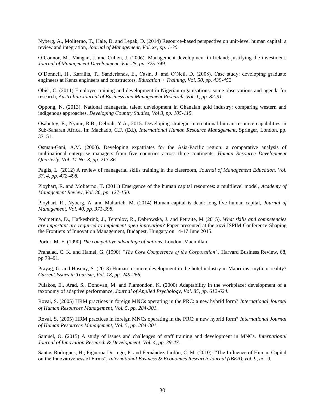Nyberg, A., Moliterno, T., Hale, D. and Lepak, D. (2014) Resource-based perspective on unit-level human capital: a review and integration, *Journal of Management, Vol. xx, pp. 1-30.*

O'Connor, M., Mangan, J. and Cullen, J. (2006). Management development in Ireland: justifying the investment. *Journal of Management Development, Vol. 25, pp. 325-349.*

O'Donnell, H., Karallis, T., Sanderlands, E., Casin, J. and O'Neil, D. (2008). Case study: developing graduate engineers at Kentz engineers and constructors. *Education + Training, Vol. 50, pp. 439-452*

Obisi, C. (2011) Employee training and development in Nigerian organisations: some observations and agenda for research, *Australian Journal of Business and Management Research, Vol. 1, pp. 82-91.* 

Oppong, N. (2013). National managerial talent development in Ghanaian gold industry: comparing western and indigenous approaches. *Developing Country Studies, Vol 3, pp. 105-115.* 

Osabutey, E., Nyuur, R.B., Debrah, Y.A., 2015. Developing strategic international human resource capabilities in Sub-Saharan Africa. In: Machado, C.F. (Ed.), *International Human Resource Management*, Springer, London, pp. 37–51.

Osman-Gani, A.M. (2000). Developing expatriates for the Asia-Pacific region: a comparative analysis of multinational enterprise managers from five countries across three continents. *Human Resource Development Quarterly, Vol. 11 No. 3, pp. 213-36.*

Paglis, L. (2012) A review of managerial skills training in the classroom, *Journal of Management Education. Vol. 37, 4, pp. 472-498.*

Ployhart, R. and Moliterno, T. (2011) Emergence of the human capital resources: a multilevel model, *Academy of Management Review, Vol. 36, pp. 127-150.*

Ployhart, R., Nyberg, A. and Maltarich, M. (2014) Human capital is dead: long live human capital, *Journal of Management, Vol. 40, pp. 371-398.*

Podmetina, D., Hafkesbrink, J., Templov, R., Dabrowska, J. and Petraite, M (2015). *What skills and competencies are important are required to implement open innovation?* Paper presented at the xxvi ISPIM Conference-Shaping the Frontiers of Innovation Management, Budapest, Hungary on 14-17 June 2015.

Porter, M. E. (1990) *The competitive advantage of nations.* London: Macmillan

Prahalad, C. K. and Hamel, G. (1990) *"The Core Competence of the Corporation",* Harvard Business Review, 68, pp 79–91.

Prayag, G. and Hoseny, S. (2013) Human resource development in the hotel industry in Mauritius: myth or reality? *Current Issues in Tourism, Vol. 18, pp. 249-266.*

Pulakos, E., Arad, S., Donovan, M. and Plamondon, K. (2000) Adaptability in the workplace: development of a taxonomy of adaptive performance, *Journal of Applied Psychology, Vol. 85, pp. 612-624.* 

Rovai, S. (2005) HRM practices in foreign MNCs operating in the PRC: a new hybrid form? *International Journal of Human Resources Management, Vol. 5, pp. 284-301.*

Rovai, S. (2005) HRM practices in foreign MNCs operating in the PRC: a new hybrid form? *International Journal of Human Resources Management, Vol. 5, pp. 284-301.*

Samuel, O. (2015) A study of issues and challenges of staff training and development in MNCs. *International Journal of Innovation Research & Development, Vol. 4, pp. 39-47.* 

Santos Rodrigues, H.; Figueroa Dorrego, P. and Fernández-Jardón, C. M. (2010): "The Influence of Human Capital on the Innovativeness of Firms", *International Business & Economics Research Journal (IBER), vol. 9, no. 9.*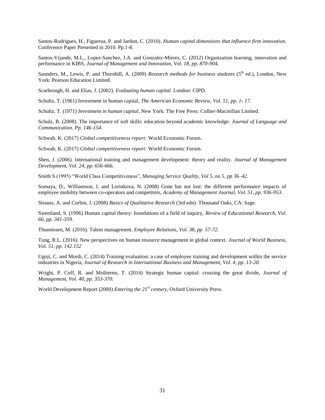Santos-Rodrigues, H., Figueroa, P. and Jardon, C. (2010). *Human capital dimensions that influence firm innovation.* Conference Paper Presented in 2010. Pp.1-8.

Santos-Vijande, M.L., Lopez-Sanchez, J.A. and Gonzalez-Mieres, C. (2012) Organization learning, innovation and performance in KIBS, *Journal of Management and Innovation, Vol. 18, pp. 870-904.*

Saunders, M., Lewis, P. and Thornhill, A. (2009) *Research methods for business students* (5<sup>th</sup> ed.), London, New York: Pearson Education Limited.

Scarbrough, H. and Elias, J. (2002). *Evaluating human capital.* London: CIPD.

Schultz, T. (1961) Investment in human capital, *The American Economic Review, Vol. 51, pp. 1- 17.*

Schultz, T. (1971) *Investment in human capital*, New York: The Free Press: Collier-Macmillan Limited.

Schulz, B. (2008). The importance of soft skills: education beyond academic knowledge: *Journal of Language and Communication. Pp. 146-154.*

Schwab, K. (2017) *Global competitiveness report:* World Economic Forum.

Schwab, K. (2017) *Global competitiveness report:* World Economic Forum.

Shen, J. (2006). International training and management development: theory and reality. *Journal of Management Development, Vol. 24, pp. 656-666.*

Smith S (1995) "World Class Competitiveness", *Managing Service Quality, Vol 5, no 5, pp 36–42.*

Somaya, D., Williamson, I. and Lorinkova, N. (2008) Gone but not lost: the different performance impacts of employee mobility between co-operators and competitors, *Academy of Management Journal, Vol. 51, pp. 936-953.*

Strauss, A. and Corbin, J. (2008) *Basics of Qualitative Research* (3rd edn). Thousand Oaks, CA: Sage.

Sweetland, S. (1996) Human capital theory: foundations of a field of inquiry, *Review of Educational Research, Vol. 66, pp. 341-359.*

Thunnissen, M. (2016). Talent management. *Employee Relations, Vol. 38, pp. 57-72.*

Tung, R.L. (2016). New perspectives on human resource management in global context. *Journal of World Business, Vol. 51, pp. 142.152*

Ugoji, C. and Mordi, C. (2014) Training evaluation: a case of employee training and development within the service industries in Nigeria*, Journal of Research in International Business and Management, Vol. 4, pp. 13-20.*

Wright, P. Coff, R. and Moliterno, T. (2014) Strategic human capital: crossing the great divide, *Journal of Management, Vol. 40, pp. 353-370.*

World Development Report (2000) *Entering the 21st century*, Oxford University Press.